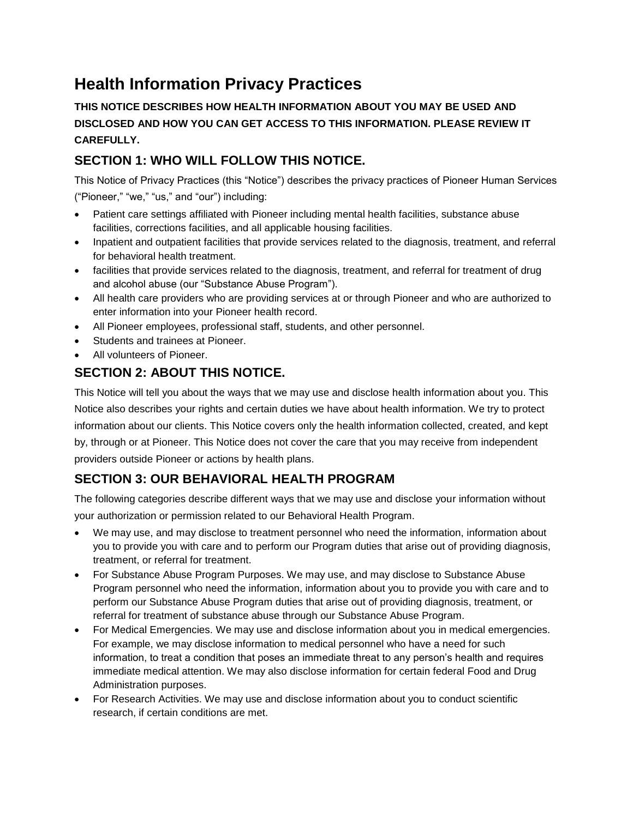# **Health Information Privacy Practices**

**THIS NOTICE DESCRIBES HOW HEALTH INFORMATION ABOUT YOU MAY BE USED AND DISCLOSED AND HOW YOU CAN GET ACCESS TO THIS INFORMATION. PLEASE REVIEW IT CAREFULLY.**

# **SECTION 1: WHO WILL FOLLOW THIS NOTICE.**

This Notice of Privacy Practices (this "Notice") describes the privacy practices of Pioneer Human Services ("Pioneer," "we," "us," and "our") including:

- Patient care settings affiliated with Pioneer including mental health facilities, substance abuse facilities, corrections facilities, and all applicable housing facilities.
- Inpatient and outpatient facilities that provide services related to the diagnosis, treatment, and referral for behavioral health treatment.
- facilities that provide services related to the diagnosis, treatment, and referral for treatment of drug and alcohol abuse (our "Substance Abuse Program").
- All health care providers who are providing services at or through Pioneer and who are authorized to enter information into your Pioneer health record.
- All Pioneer employees, professional staff, students, and other personnel.
- Students and trainees at Pioneer.
- All volunteers of Pioneer.

# **SECTION 2: ABOUT THIS NOTICE.**

This Notice will tell you about the ways that we may use and disclose health information about you. This Notice also describes your rights and certain duties we have about health information. We try to protect information about our clients. This Notice covers only the health information collected, created, and kept by, through or at Pioneer. This Notice does not cover the care that you may receive from independent providers outside Pioneer or actions by health plans.

# **SECTION 3: OUR BEHAVIORAL HEALTH PROGRAM**

The following categories describe different ways that we may use and disclose your information without your authorization or permission related to our Behavioral Health Program.

- We may use, and may disclose to treatment personnel who need the information, information about you to provide you with care and to perform our Program duties that arise out of providing diagnosis, treatment, or referral for treatment.
- For Substance Abuse Program Purposes. We may use, and may disclose to Substance Abuse Program personnel who need the information, information about you to provide you with care and to perform our Substance Abuse Program duties that arise out of providing diagnosis, treatment, or referral for treatment of substance abuse through our Substance Abuse Program.
- For Medical Emergencies. We may use and disclose information about you in medical emergencies. For example, we may disclose information to medical personnel who have a need for such information, to treat a condition that poses an immediate threat to any person's health and requires immediate medical attention. We may also disclose information for certain federal Food and Drug Administration purposes.
- For Research Activities. We may use and disclose information about you to conduct scientific research, if certain conditions are met.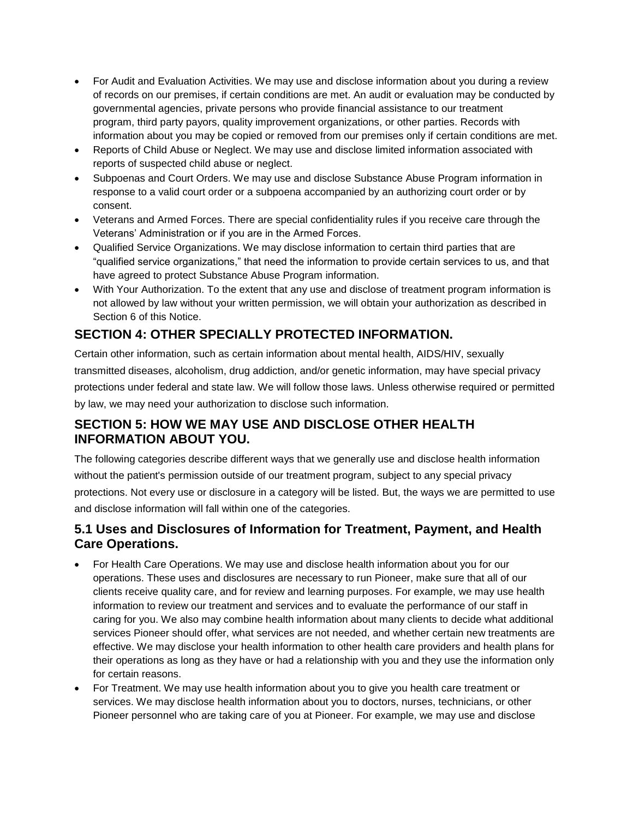- For Audit and Evaluation Activities. We may use and disclose information about you during a review of records on our premises, if certain conditions are met. An audit or evaluation may be conducted by governmental agencies, private persons who provide financial assistance to our treatment program, third party payors, quality improvement organizations, or other parties. Records with information about you may be copied or removed from our premises only if certain conditions are met.
- Reports of Child Abuse or Neglect. We may use and disclose limited information associated with reports of suspected child abuse or neglect.
- Subpoenas and Court Orders. We may use and disclose Substance Abuse Program information in response to a valid court order or a subpoena accompanied by an authorizing court order or by consent.
- Veterans and Armed Forces. There are special confidentiality rules if you receive care through the Veterans' Administration or if you are in the Armed Forces.
- Qualified Service Organizations. We may disclose information to certain third parties that are "qualified service organizations," that need the information to provide certain services to us, and that have agreed to protect Substance Abuse Program information.
- With Your Authorization. To the extent that any use and disclose of treatment program information is not allowed by law without your written permission, we will obtain your authorization as described in Section 6 of this Notice.

# **SECTION 4: OTHER SPECIALLY PROTECTED INFORMATION.**

Certain other information, such as certain information about mental health, AIDS/HIV, sexually transmitted diseases, alcoholism, drug addiction, and/or genetic information, may have special privacy protections under federal and state law. We will follow those laws. Unless otherwise required or permitted by law, we may need your authorization to disclose such information.

## **SECTION 5: HOW WE MAY USE AND DISCLOSE OTHER HEALTH INFORMATION ABOUT YOU.**

The following categories describe different ways that we generally use and disclose health information without the patient's permission outside of our treatment program, subject to any special privacy protections. Not every use or disclosure in a category will be listed. But, the ways we are permitted to use and disclose information will fall within one of the categories.

#### **5.1 Uses and Disclosures of Information for Treatment, Payment, and Health Care Operations.**

- For Health Care Operations. We may use and disclose health information about you for our operations. These uses and disclosures are necessary to run Pioneer, make sure that all of our clients receive quality care, and for review and learning purposes. For example, we may use health information to review our treatment and services and to evaluate the performance of our staff in caring for you. We also may combine health information about many clients to decide what additional services Pioneer should offer, what services are not needed, and whether certain new treatments are effective. We may disclose your health information to other health care providers and health plans for their operations as long as they have or had a relationship with you and they use the information only for certain reasons.
- For Treatment. We may use health information about you to give you health care treatment or services. We may disclose health information about you to doctors, nurses, technicians, or other Pioneer personnel who are taking care of you at Pioneer. For example, we may use and disclose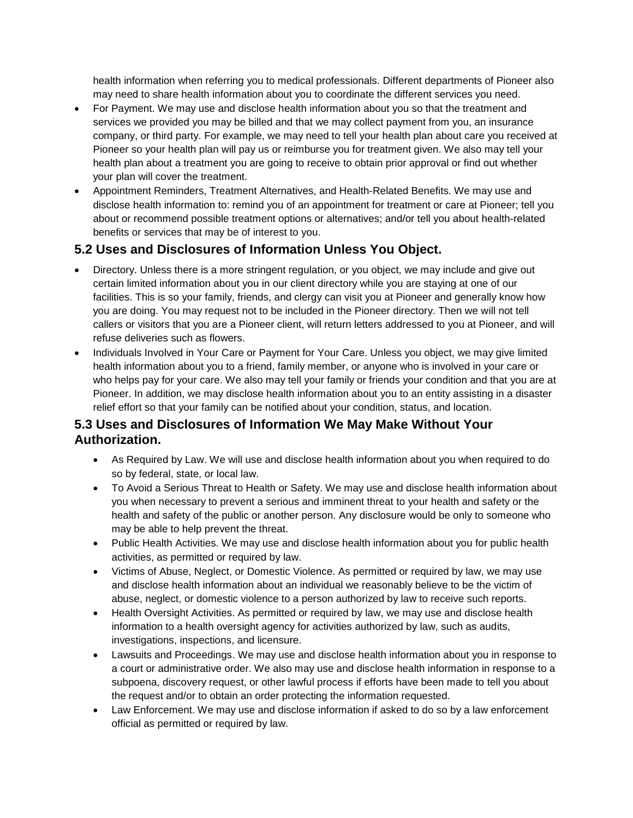health information when referring you to medical professionals. Different departments of Pioneer also may need to share health information about you to coordinate the different services you need.

- For Payment. We may use and disclose health information about you so that the treatment and services we provided you may be billed and that we may collect payment from you, an insurance company, or third party. For example, we may need to tell your health plan about care you received at Pioneer so your health plan will pay us or reimburse you for treatment given. We also may tell your health plan about a treatment you are going to receive to obtain prior approval or find out whether your plan will cover the treatment.
- Appointment Reminders, Treatment Alternatives, and Health-Related Benefits. We may use and disclose health information to: remind you of an appointment for treatment or care at Pioneer; tell you about or recommend possible treatment options or alternatives; and/or tell you about health-related benefits or services that may be of interest to you.

## **5.2 Uses and Disclosures of Information Unless You Object.**

- Directory. Unless there is a more stringent regulation, or you object, we may include and give out certain limited information about you in our client directory while you are staying at one of our facilities. This is so your family, friends, and clergy can visit you at Pioneer and generally know how you are doing. You may request not to be included in the Pioneer directory. Then we will not tell callers or visitors that you are a Pioneer client, will return letters addressed to you at Pioneer, and will refuse deliveries such as flowers.
- Individuals Involved in Your Care or Payment for Your Care. Unless you object, we may give limited health information about you to a friend, family member, or anyone who is involved in your care or who helps pay for your care. We also may tell your family or friends your condition and that you are at Pioneer. In addition, we may disclose health information about you to an entity assisting in a disaster relief effort so that your family can be notified about your condition, status, and location.

## **5.3 Uses and Disclosures of Information We May Make Without Your Authorization.**

- As Required by Law. We will use and disclose health information about you when required to do so by federal, state, or local law.
- To Avoid a Serious Threat to Health or Safety. We may use and disclose health information about you when necessary to prevent a serious and imminent threat to your health and safety or the health and safety of the public or another person. Any disclosure would be only to someone who may be able to help prevent the threat.
- Public Health Activities. We may use and disclose health information about you for public health activities, as permitted or required by law.
- Victims of Abuse, Neglect, or Domestic Violence. As permitted or required by law, we may use and disclose health information about an individual we reasonably believe to be the victim of abuse, neglect, or domestic violence to a person authorized by law to receive such reports.
- Health Oversight Activities. As permitted or required by law, we may use and disclose health information to a health oversight agency for activities authorized by law, such as audits, investigations, inspections, and licensure.
- Lawsuits and Proceedings. We may use and disclose health information about you in response to a court or administrative order. We also may use and disclose health information in response to a subpoena, discovery request, or other lawful process if efforts have been made to tell you about the request and/or to obtain an order protecting the information requested.
- Law Enforcement. We may use and disclose information if asked to do so by a law enforcement official as permitted or required by law.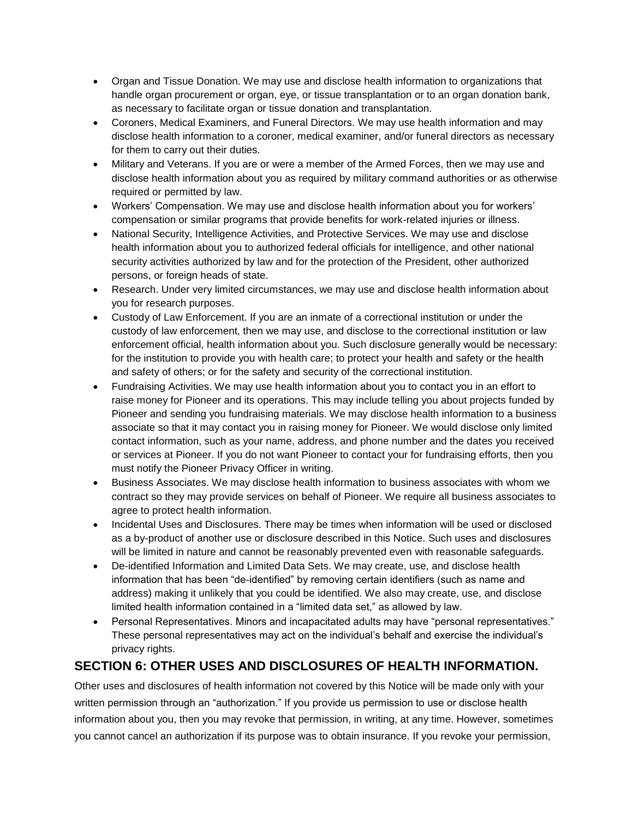- Organ and Tissue Donation. We may use and disclose health information to organizations that handle organ procurement or organ, eye, or tissue transplantation or to an organ donation bank, as necessary to facilitate organ or tissue donation and transplantation.
- Coroners, Medical Examiners, and Funeral Directors. We may use health information and may disclose health information to a coroner, medical examiner, and/or funeral directors as necessary for them to carry out their duties.
- Military and Veterans. If you are or were a member of the Armed Forces, then we may use and disclose health information about you as required by military command authorities or as otherwise required or permitted by law.
- Workers' Compensation. We may use and disclose health information about you for workers' compensation or similar programs that provide benefits for work-related injuries or illness.
- National Security, Intelligence Activities, and Protective Services. We may use and disclose health information about you to authorized federal officials for intelligence, and other national security activities authorized by law and for the protection of the President, other authorized persons, or foreign heads of state.
- Research. Under very limited circumstances, we may use and disclose health information about you for research purposes.
- Custody of Law Enforcement. If you are an inmate of a correctional institution or under the custody of law enforcement, then we may use, and disclose to the correctional institution or law enforcement official, health information about you. Such disclosure generally would be necessary: for the institution to provide you with health care; to protect your health and safety or the health and safety of others; or for the safety and security of the correctional institution.
- Fundraising Activities. We may use health information about you to contact you in an effort to raise money for Pioneer and its operations. This may include telling you about projects funded by Pioneer and sending you fundraising materials. We may disclose health information to a business associate so that it may contact you in raising money for Pioneer. We would disclose only limited contact information, such as your name, address, and phone number and the dates you received or services at Pioneer. If you do not want Pioneer to contact your for fundraising efforts, then you must notify the Pioneer Privacy Officer in writing.
- Business Associates. We may disclose health information to business associates with whom we contract so they may provide services on behalf of Pioneer. We require all business associates to agree to protect health information.
- Incidental Uses and Disclosures. There may be times when information will be used or disclosed as a by-product of another use or disclosure described in this Notice. Such uses and disclosures will be limited in nature and cannot be reasonably prevented even with reasonable safeguards.
- De-identified Information and Limited Data Sets. We may create, use, and disclose health information that has been "de-identified" by removing certain identifiers (such as name and address) making it unlikely that you could be identified. We also may create, use, and disclose limited health information contained in a "limited data set," as allowed by law.
- Personal Representatives. Minors and incapacitated adults may have "personal representatives." These personal representatives may act on the individual's behalf and exercise the individual's privacy rights.

#### **SECTION 6: OTHER USES AND DISCLOSURES OF HEALTH INFORMATION.**

Other uses and disclosures of health information not covered by this Notice will be made only with your written permission through an "authorization." If you provide us permission to use or disclose health information about you, then you may revoke that permission, in writing, at any time. However, sometimes you cannot cancel an authorization if its purpose was to obtain insurance. If you revoke your permission,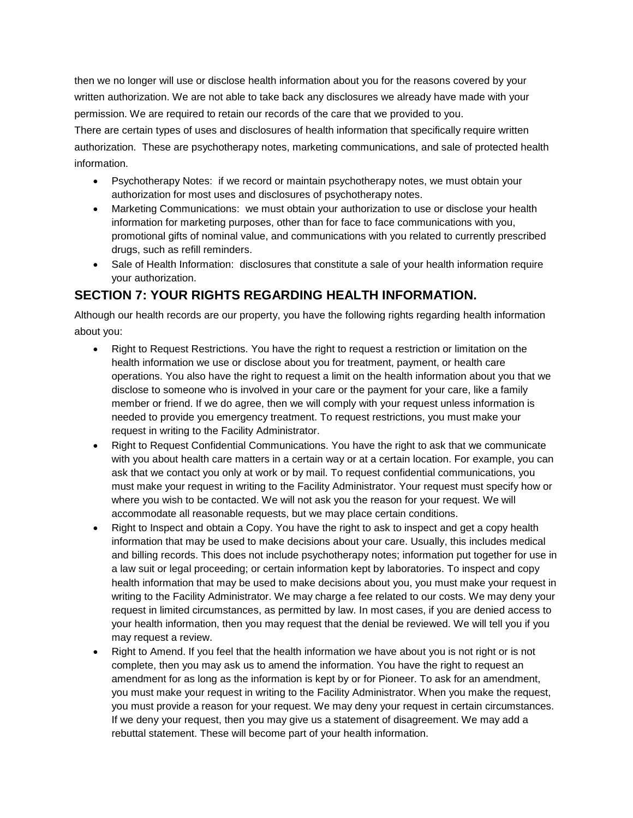then we no longer will use or disclose health information about you for the reasons covered by your written authorization. We are not able to take back any disclosures we already have made with your permission. We are required to retain our records of the care that we provided to you.

There are certain types of uses and disclosures of health information that specifically require written authorization. These are psychotherapy notes, marketing communications, and sale of protected health information.

- Psychotherapy Notes: if we record or maintain psychotherapy notes, we must obtain your authorization for most uses and disclosures of psychotherapy notes.
- Marketing Communications: we must obtain your authorization to use or disclose your health information for marketing purposes, other than for face to face communications with you, promotional gifts of nominal value, and communications with you related to currently prescribed drugs, such as refill reminders.
- Sale of Health Information: disclosures that constitute a sale of your health information require your authorization.

## **SECTION 7: YOUR RIGHTS REGARDING HEALTH INFORMATION.**

Although our health records are our property, you have the following rights regarding health information about you:

- Right to Request Restrictions. You have the right to request a restriction or limitation on the health information we use or disclose about you for treatment, payment, or health care operations. You also have the right to request a limit on the health information about you that we disclose to someone who is involved in your care or the payment for your care, like a family member or friend. If we do agree, then we will comply with your request unless information is needed to provide you emergency treatment. To request restrictions, you must make your request in writing to the Facility Administrator.
- Right to Request Confidential Communications. You have the right to ask that we communicate with you about health care matters in a certain way or at a certain location. For example, you can ask that we contact you only at work or by mail. To request confidential communications, you must make your request in writing to the Facility Administrator. Your request must specify how or where you wish to be contacted. We will not ask you the reason for your request. We will accommodate all reasonable requests, but we may place certain conditions.
- Right to Inspect and obtain a Copy. You have the right to ask to inspect and get a copy health information that may be used to make decisions about your care. Usually, this includes medical and billing records. This does not include psychotherapy notes; information put together for use in a law suit or legal proceeding; or certain information kept by laboratories. To inspect and copy health information that may be used to make decisions about you, you must make your request in writing to the Facility Administrator. We may charge a fee related to our costs. We may deny your request in limited circumstances, as permitted by law. In most cases, if you are denied access to your health information, then you may request that the denial be reviewed. We will tell you if you may request a review.
- Right to Amend. If you feel that the health information we have about you is not right or is not complete, then you may ask us to amend the information. You have the right to request an amendment for as long as the information is kept by or for Pioneer. To ask for an amendment, you must make your request in writing to the Facility Administrator. When you make the request, you must provide a reason for your request. We may deny your request in certain circumstances. If we deny your request, then you may give us a statement of disagreement. We may add a rebuttal statement. These will become part of your health information.